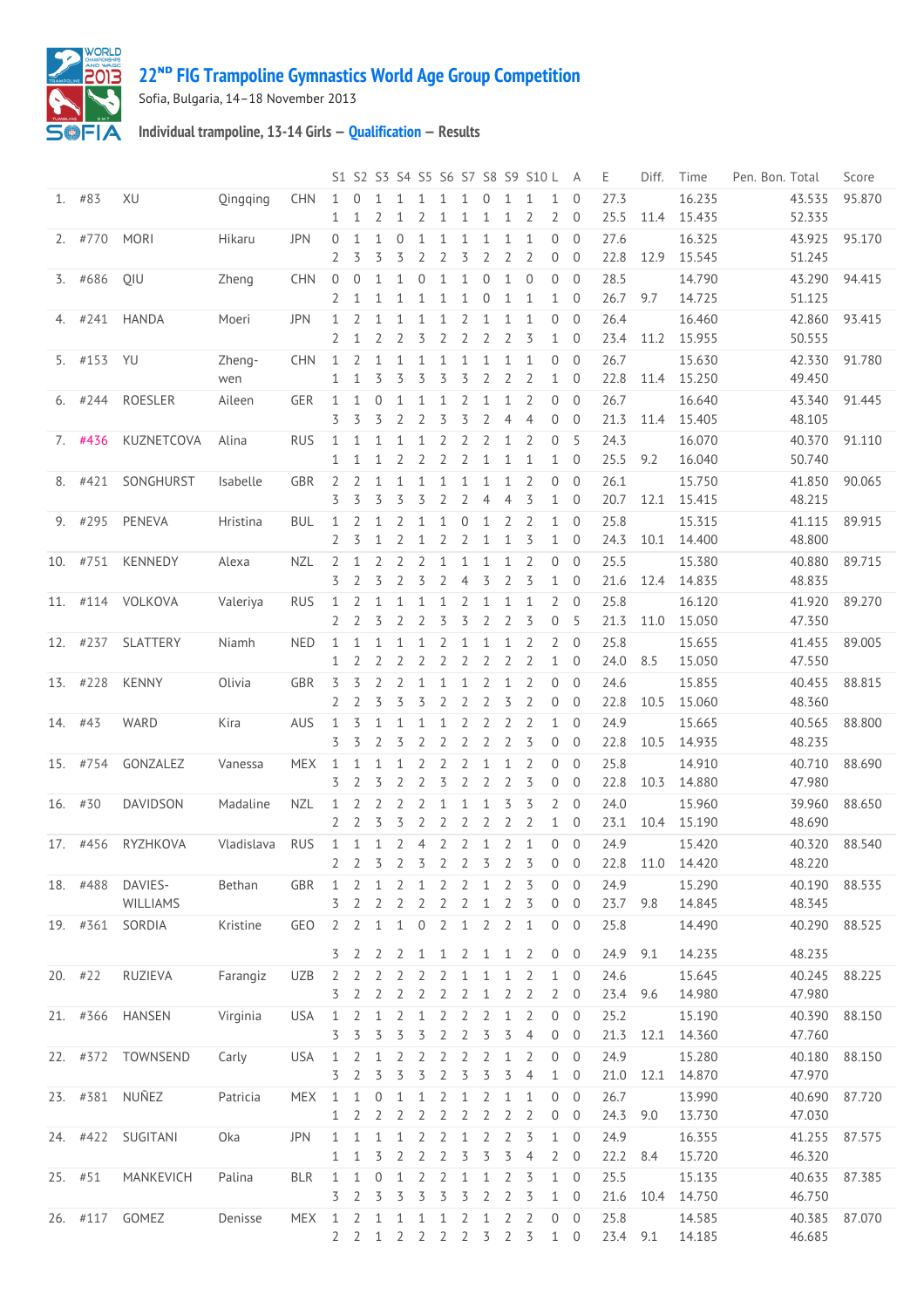

## **ᴺᴰ [FIG Trampoline Gymnastics World Age Group Competition](http://192.168.1.7:9001/event)**

Sofia, Bulgaria, 14–18 November 2013

**Individual trampoline, 13-14 Girls — [Qualification](http://192.168.1.7:9001/stage/21) — Results**

|     |            |                   |               |            |                              |                                  |                              |                   |                             |                                |                                |                                |                                | S1 S2 S3 S4 S5 S6 S7 S8 S9 S10 L |                                | A                                | Ε            | Diff. | Time             | Pen. Bon. Total  | Score  |
|-----|------------|-------------------|---------------|------------|------------------------------|----------------------------------|------------------------------|-------------------|-----------------------------|--------------------------------|--------------------------------|--------------------------------|--------------------------------|----------------------------------|--------------------------------|----------------------------------|--------------|-------|------------------|------------------|--------|
|     | $1.$ #83   | XU                | Oingging      | <b>CHN</b> | $\mathbf{1}$<br>$\mathbf{1}$ | $\Omega$<br>1                    | 1<br>2                       | $\mathbf{1}$<br>1 | 1<br>2                      | 1<br>1                         | $\mathbf{1}$<br>$\mathbf{1}$   | $\Omega$<br>$\mathbf{1}$       | $\mathbf{1}$<br>$\mathbf{1}$   | 1<br>$\overline{2}$              | $\mathbf{1}$<br>$\overline{2}$ | $\overline{0}$<br>$\overline{0}$ | 27.3<br>25.5 | 11.4  | 16.235<br>15.435 | 43.535<br>52.335 | 95.870 |
|     | $2.$ #770  | <b>MORI</b>       | Hikaru        | <b>JPN</b> | $\overline{0}$               | 1                                | $\mathbf{1}$                 | $\overline{0}$    | 1                           | $\mathbf{1}$                   | $\mathbf{1}$                   | $\mathbf 1$                    | $\mathbf{1}$                   | 1                                | 0                              | $\overline{0}$                   | 27.6         |       | 16.325           | 43.925           | 95.170 |
|     |            |                   |               |            | 2                            | 3                                | 3                            | 3                 | 2                           | $\overline{2}$                 | 3                              | $\overline{2}$                 | $\overline{2}$                 | 2                                | 0                              | $\overline{0}$                   | 22.8         | 12.9  | 15.545           | 51.245           |        |
| 3.  | #686       | QIU               | Zheng         | <b>CHN</b> | $\mathbf 0$<br>2             | $\mathbf{0}$<br>1                | $\mathbf{1}$<br>$\mathbf{1}$ | $\mathbf{1}$<br>1 | $\Omega$<br>1               | $\mathbf{1}$<br>$\mathbf{1}$   | 1<br>$\mathbf{1}$              | $\mathbf 0$<br>$\mathbf 0$     | $\mathbf{1}$<br>$\mathbf{1}$   | $\overline{0}$<br>1              | 0<br>$\mathbf{1}$              | $\overline{0}$<br>$\mathbf 0$    | 28.5<br>26.7 | 9.7   | 14.790<br>14.725 | 43.290<br>51.125 | 94.415 |
| 4.  | #241       | <b>HANDA</b>      | Moeri         | <b>JPN</b> | 1                            | 2                                | $\mathbf{1}$                 | $\mathbf{1}$      | 1                           | 1                              | 2                              | $\mathbf{1}$                   | 1                              | 1                                | 0                              | $\overline{0}$                   | 26.4         |       | 16.460           | 42.860           | 93.415 |
|     |            |                   |               |            | 2                            | $\mathbf 1$                      | 2                            | 2                 | 3                           | 2                              | $\overline{2}$                 | $\overline{2}$                 | $\overline{2}$                 | 3                                | $\mathbf{1}$                   | $\overline{0}$                   | 23.4         | 11.2  | 15.955           | 50.555           |        |
|     | 5. #153 YU |                   | Zheng-<br>wen | <b>CHN</b> | 1<br>1                       | $\overline{2}$<br>1              | $\mathbf{1}$<br>3            | $\mathbf{1}$<br>3 | 1<br>3                      | $\mathbf{1}$<br>3              | 1<br>3                         | $\mathbf 1$<br>$\overline{2}$  | $\mathbf{1}$<br>$\overline{2}$ | 1<br>2                           | 0<br>$\mathbf{1}$              | $\overline{0}$<br>$\overline{0}$ | 26.7<br>22.8 | 11.4  | 15.630<br>15.250 | 42.330<br>49.450 | 91.780 |
| 6.  | #244       | ROESLER           | Aileen        | <b>GER</b> | 1                            | 1                                | 0                            | 1                 | 1                           | $\mathbf{1}$                   | 2                              | $\mathbf 1$                    | 1                              | $\overline{2}$                   | 0                              | $\overline{0}$                   | 26.7         |       | 16.640           | 43.340           | 91.445 |
|     |            |                   |               |            | 3                            | 3                                | 3                            | 2                 | 2                           | 3                              | 3                              | $\overline{2}$                 | $\overline{4}$                 | 4                                | $\overline{0}$                 | $\mathbf 0$                      | 21.3         | 11.4  | 15.405           | 48.105           |        |
|     | 7. #436    | KUZNETCOVA        | Alina         | <b>RUS</b> | 1                            | 1                                | $\mathbf{1}$                 | 1                 | $\mathbf{1}$                | 2                              | 2                              | 2                              | $\mathbf{1}$                   | 2                                | $\Omega$                       | 5                                | 24.3         |       | 16.070           | 40.370           | 91.110 |
|     |            |                   |               |            | $\mathbf{1}$                 | 1                                | 1                            | 2                 | 2                           | 2                              | $\overline{2}$                 | $\mathbf{1}$                   | $\mathbf{1}$                   | 1                                | $\mathbf{1}$                   | $\overline{0}$                   | 25.5         | 9.2   | 16.040           | 50.740           |        |
| 8.  | #421       | SONGHURST         | Isabelle      | <b>GBR</b> | 2<br>3                       | $\overline{2}$<br>3              | $\mathbf{1}$<br>3            | $\mathbf{1}$<br>3 | 1<br>3                      | $\mathbf{1}$<br>$\overline{2}$ | $\mathbf{1}$<br>$\overline{2}$ | $\mathbf 1$<br>$\overline{4}$  | $\mathbf{1}$<br>$\overline{4}$ | $\overline{2}$<br>3              | 0                              | $\overline{0}$<br>$\overline{0}$ | 26.1         | 12.1  | 15.750           | 41.850           | 90.065 |
|     |            |                   |               |            |                              |                                  |                              |                   |                             |                                |                                |                                |                                |                                  | $\mathbf{1}$                   |                                  | 20.7         |       | 15.415           | 48.215           |        |
| 9.  | #295       | PENEVA            | Hristina      | <b>BUL</b> | 1<br>2                       | 2<br>3                           | 1<br>$\mathbf{1}$            | 2<br>2            | 1                           | $\mathbf{1}$<br>2              | 0                              | $\mathbf{1}$                   | 2                              | 2<br>3                           | $\mathbf{1}$<br>$\mathbf{1}$   | $\overline{0}$<br>$\overline{0}$ | 25.8         |       | 15.315           | 41.115           | 89.915 |
|     |            |                   |               |            |                              |                                  |                              |                   | 1                           |                                | 2                              | $\mathbf{1}$                   | $\mathbf{1}$                   |                                  |                                |                                  | 24.3         | 10.1  | 14.400           | 48.800           |        |
| 10. | #751       | <b>KENNEDY</b>    | Alexa         | <b>NZL</b> | 2<br>3                       | 1<br>2                           | 2<br>3                       | 2<br>2            | 2<br>3                      | 1<br>2                         | 1<br>$\overline{4}$            | $\mathbf{1}$<br>3              | $\mathbf{1}$<br>$\overline{2}$ | $\overline{2}$<br>3              | $\overline{0}$<br>$\mathbf{1}$ | $\overline{0}$<br>$\overline{0}$ | 25.5<br>21.6 | 12.4  | 15.380<br>14.835 | 40.880<br>48.835 | 89.715 |
|     |            |                   |               |            |                              |                                  |                              |                   |                             |                                |                                |                                |                                |                                  |                                |                                  |              |       |                  |                  |        |
| 11. | #114       | VOLKOVA           | Valeriya      | <b>RUS</b> | 1<br>2                       | $\overline{2}$<br>$\overline{2}$ | $\mathbf{1}$<br>3            | $\mathbf{1}$<br>2 | 1<br>2                      | $\mathbf{1}$<br>3              | $\overline{2}$<br>3            | $\mathbf 1$<br>$\overline{2}$  | $\mathbf{1}$<br>$\overline{2}$ | 1<br>3                           | $\overline{2}$<br>0            | $\overline{0}$<br>5              | 25.8<br>21.3 | 11.0  | 16.120<br>15.050 | 41.920<br>47.350 | 89.270 |
|     | 12. #237   | SLATTERY          | Niamh         | <b>NED</b> | 1                            | $\mathbf{1}$                     | $\mathbf{1}$                 | $\mathbf{1}$      | 1                           | 2                              | $\mathbf{1}$                   | $\mathbf 1$                    | 1                              | 2                                | $\overline{2}$                 | $\overline{0}$                   | 25.8         |       | 15.655           | 41.455           | 89.005 |
|     |            |                   |               |            | 1                            | 2                                | 2                            | 2                 | 2                           | $\overline{2}$                 | 2                              | 2                              | $\overline{2}$                 | 2                                | $\mathbf{1}$                   | $\mathbf 0$                      | 24.0         | 8.5   | 15.050           | 47.550           |        |
|     | 13. #228   | <b>KENNY</b>      | Olivia        | <b>GBR</b> | 3                            | 3                                | 2                            | 2                 | $\mathbf{1}$                | $\mathbf{1}$                   | 1                              | $\overline{2}$                 | $\mathbf{1}$                   | 2                                | $\Omega$                       | $\overline{0}$                   | 24.6         |       | 15.855           | 40.455           | 88.815 |
|     |            |                   |               |            | 2                            | $\overline{2}$                   | 3                            | 3                 | 3                           | 2                              | $\overline{2}$                 | $\overline{2}$                 | 3                              | $\overline{2}$                   | $\overline{0}$                 | $\overline{0}$                   | 22.8         | 10.5  | 15.060           | 48.360           |        |
|     | 14. #43    | WARD              | Kira          | <b>AUS</b> | 1                            | 3                                | $\mathbf{1}$                 | $\mathbf{1}$      | 1                           | $\mathbf{1}$                   | $\overline{2}$                 | $\overline{2}$                 | $\overline{2}$                 | 2                                | $\mathbf{1}$                   | $\overline{0}$                   | 24.9         |       | 15.665           | 40.565           | 88.800 |
|     |            |                   |               |            | 3                            | 3                                | 2                            | 3                 | 2                           | $\overline{2}$                 | $\overline{2}$                 | $\overline{2}$                 | $\overline{2}$                 | 3                                | 0                              | $\overline{0}$                   | 22.8         | 10.5  | 14.935           | 48.235           |        |
|     | 15. #754   | GONZALEZ          | Vanessa       | <b>MEX</b> | 1                            | 1                                | 1                            | 1                 | 2                           | 2                              | $\overline{2}$                 | $\mathbf{1}$                   | 1                              | 2                                | 0                              | $\overline{0}$                   | 25.8         |       | 14.910           | 40.710           | 88.690 |
|     |            |                   |               |            | 3                            | 2                                | 3                            | 2                 | 2                           | 3                              | $\overline{2}$                 | 2                              | $\overline{2}$                 | 3                                | $\overline{0}$                 | $\overline{0}$                   | 22.8         | 10.3  | 14.880           | 47.980           |        |
| 16. | #30        | <b>DAVIDSON</b>   | Madaline      | <b>NZL</b> | 1                            | 2                                | 2                            | 2                 | 2                           | 1                              | $\mathbf{1}$                   | 1                              | 3                              | 3                                | $\overline{2}$                 | $\overline{0}$                   | 24.0         |       | 15.960           | 39.960           | 88.650 |
|     |            |                   |               |            | 2                            | 2                                | 3                            | 3                 | $\overline{2}$              | $\overline{2}$                 | $\overline{2}$                 | $\overline{2}$                 | $\overline{2}$                 | $\overline{2}$                   | $\mathbf{1}$                   | $\overline{0}$                   | 23.1         | 10.4  | 15.190           | 48.690           |        |
|     | 17. #456   | <b>RYZHKOVA</b>   | Vladislava    | <b>RUS</b> | 1                            | 1                                | $\mathbf{1}$                 | $\overline{2}$    | $\overline{4}$              | $\overline{2}$                 | $\overline{2}$                 | $\mathbf{1}$                   | $\overline{2}$                 | 1                                | 0                              | $\overline{0}$                   | 24.9         |       | 15.420           | 40.320           | 88.540 |
|     |            |                   |               |            | 2                            | 2                                | 3                            | 2                 | 3 <sup>2</sup>              |                                | $\overline{2}$                 | 3                              | $\overline{2}$                 | 3                                | 0                              | $\overline{0}$                   | 22.8         | 11.0  | 14.420           | 48.220           |        |
|     | 18. #488   | DAVIES-           | Bethan        | GBR        | 1                            | $\overline{2}$                   |                              |                   | 1 2 1 2 2 1                 |                                |                                |                                | $\overline{2}$                 | 3                                | 0                              | - 0                              | 24.9         |       | 15.290           | 40.190 88.535    |        |
|     |            | WILLIAMS          |               |            | 3                            | 2                                | 2                            | 2                 | 2                           | 2                              | 2                              | $\mathbf{1}$                   | 2                              | 3                                | $\overline{0}$                 | $\overline{0}$                   | 23.7         | 9.8   | 14.845           | 48.345           |        |
|     |            | 19. #361 SORDIA   | Kristine      | GEO        |                              | 2 <sup>2</sup>                   | $1\quad1$                    |                   | $\overline{0}$              | $\overline{2}$                 | $\overline{1}$                 | $\overline{2}$                 | $2 \quad 1$                    |                                  |                                | $0\quad 0$                       | 25.8         |       | 14.490           | 40.290 88.525    |        |
|     |            |                   |               |            |                              |                                  |                              |                   |                             |                                |                                |                                |                                |                                  |                                |                                  |              |       |                  |                  |        |
|     |            |                   |               |            | 3                            | 2                                | 2                            | 2                 | 1                           | 1                              | 2                              | 1                              | 1                              | 2                                | $\overline{0}$                 | $\overline{0}$                   | 24.9         | 9.1   | 14.235           | 48.235           |        |
|     | $20.$ #22  | RUZIEVA           | Farangiz      | <b>UZB</b> | 2                            | $\overline{2}$                   | 2                            | 2                 | 2                           | $\overline{2}$                 | 1                              | $\mathbf{1}$                   | $\mathbf{1}$                   | $\overline{2}$                   | 1                              | $\overline{0}$                   | 24.6         |       | 15.645           | 40.245           | 88.225 |
|     |            |                   |               |            | 3                            | 2                                | 2                            | 2                 | 2                           | 2                              | 2                              | $\mathbf{1}$                   | 2                              | 2                                | $\overline{2}$                 | $\overline{0}$                   | 23.4         | 9.6   | 14.980           | 47.980           |        |
|     |            | 21. #366 HANSEN   | Virginia      | <b>USA</b> | $\mathbf{1}$                 | 2                                | 1                            | 2                 | 1                           | 2                              | 2                              | 2                              | $\mathbf{1}$                   | 2                                | 0                              | $\theta$                         | 25.2         |       | 15.190           | 40.390           | 88.150 |
|     |            |                   |               |            | 3                            | 3                                | 3                            | 3                 | 3                           | $\overline{2}$                 | $\overline{2}$                 | 3                              | 3                              | $\overline{4}$                   | $\overline{0}$                 | $\overline{0}$                   | 21.3         | 12.1  | 14.360           | 47.760           |        |
|     |            | 22. #372 TOWNSEND | Carly         | <b>USA</b> | 1                            | 2                                | 1                            | 2                 | 2                           | 2                              | 2                              | 2                              | 1                              | 2                                | 0                              | $\overline{0}$                   | 24.9         |       | 15.280           | 40.180           | 88.150 |
|     |            |                   |               |            | 3                            | 2                                | 3                            | 3                 | 3                           | $\overline{2}$                 | 3                              | 3                              | 3                              | $\overline{4}$                   | $\mathbf{1}$                   | $\overline{0}$                   | 21.0         | 12.1  | 14.870           | 47.970           |        |
|     |            | 23. #381 NUÑEZ    | Patricia      | <b>MEX</b> | 1                            | $\mathbf{1}$                     | $\theta$                     | $\mathbf 1$       | $\mathbf{1}$                | $\overline{2}$                 | $\mathbf{1}$                   | $\overline{2}$                 | $\mathbf{1}$                   | 1                                |                                | $0\quad 0$                       | 26.7         |       | 13.990           | 40.690           | 87.720 |
|     |            |                   |               |            | 1                            | 2                                | 2                            | 2                 | 2                           | 2                              | 2                              | 2                              | 2                              | 2                                | 0                              | $\overline{0}$                   | 24.3         | 9.0   | 13.730           | 47.030           |        |
|     |            | 24. #422 SUGITANI | Oka           | <b>JPN</b> | $\mathbf 1$                  | $\mathbf{1}$                     | $\mathbf{1}$                 | $\mathbf{1}$      | 2                           | $\overline{2}$                 | $\mathbf{1}$                   | $\overline{2}$                 | 2                              | 3                                | $\mathbf{1}$                   | $\mathbf 0$                      | 24.9         |       | 16.355           | 41.255           | 87.575 |
|     |            |                   |               |            | 1                            | 1                                | 3                            | 2                 | 2                           | 2                              | 3                              | 3                              | 3                              | $\overline{4}$                   | $\overline{2}$                 | 0                                | 22.2         | 8.4   | 15.720           | 46.320           |        |
|     | 25. #51    | MANKEVICH         | Palina        | <b>BLR</b> | 1<br>3                       | 1<br>2                           | $\theta$<br>3                | $\mathbf{1}$<br>3 | 2<br>3                      | 2<br>3                         | $\mathbf{1}$<br>3              | $\mathbf{1}$<br>$\overline{2}$ | 2<br>$\overline{2}$            | 3<br>3                           | $\mathbf{1}$<br>$\mathbf{1}$   | $\mathbf 0$<br>$\overline{0}$    | 25.5<br>21.6 | 10.4  | 15.135<br>14.750 | 40.635<br>46.750 | 87.385 |
|     |            |                   |               |            |                              |                                  |                              |                   |                             |                                |                                |                                |                                |                                  |                                |                                  |              |       |                  |                  |        |
|     |            | 26. #117 GOMEZ    | Denisse       | MEX        | 1                            | 2<br>2 <sub>2</sub>              | $\mathbf{1}$                 | $\mathbf{1}$      | $\mathbf{1}$<br>1 2 2 2 2 3 | $\mathbf{1}$                   | $\overline{2}$                 | $\mathbf{1}$                   | $\overline{2}$                 | 2<br>2 <sub>5</sub>              | 0                              | $\overline{0}$<br>$1 \quad 0$    | 25.8<br>23.4 | 9.1   | 14.585<br>14.185 | 40.385<br>46.685 | 87.070 |
|     |            |                   |               |            |                              |                                  |                              |                   |                             |                                |                                |                                |                                |                                  |                                |                                  |              |       |                  |                  |        |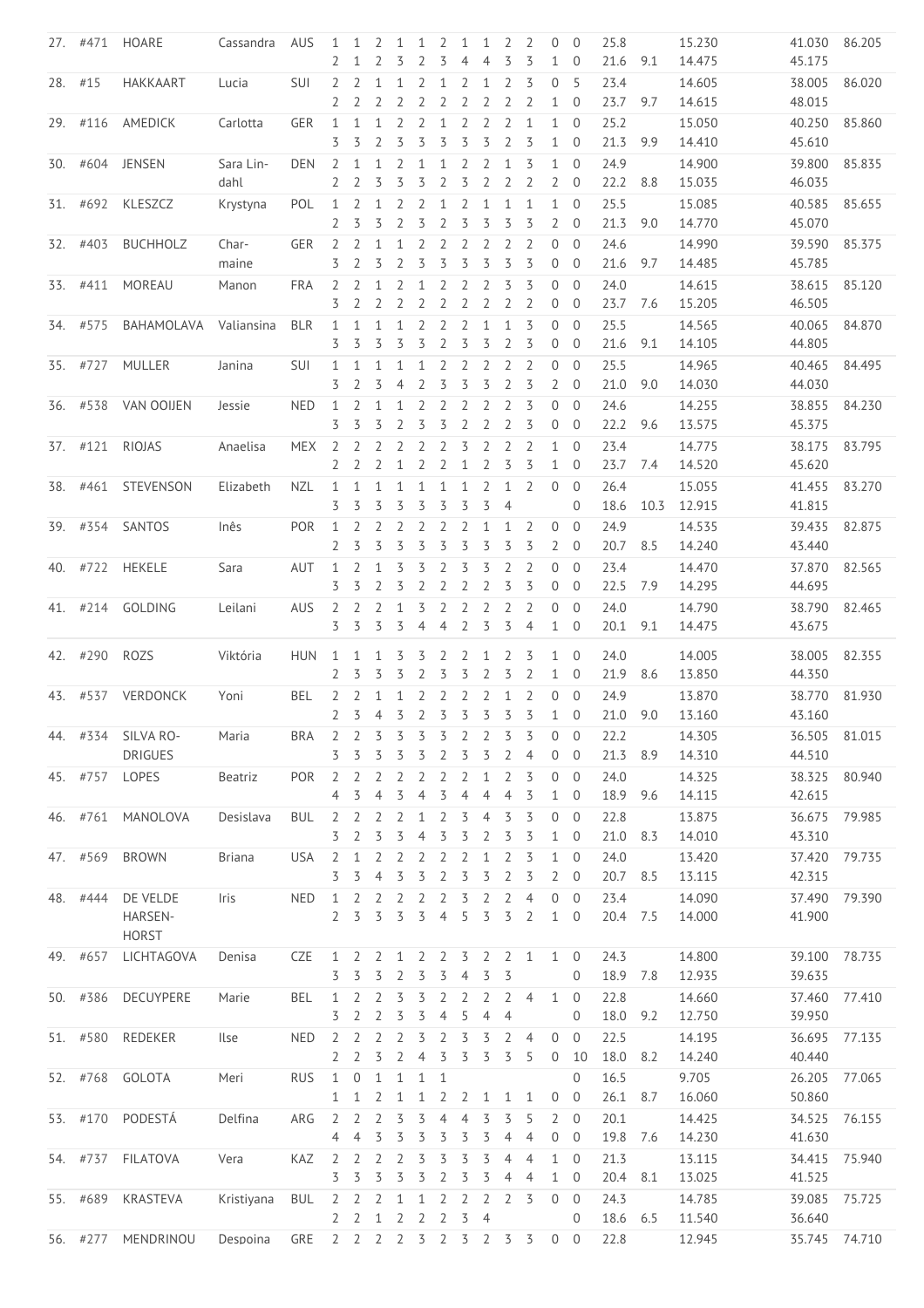|         |          | 27. #471 HOARE  | Cassandra     | AUS        | 1<br>2         | 1<br>1         | 2<br>2         | $\mathbf{1}$<br>3 | 1<br>2         | 2<br>3            | 1<br>4              | 1<br>$\overline{4}$ | 2<br>3                           | 2<br>3         | $\overline{0}$<br>$\mathbf{1}$ | $\overline{0}$<br>$\overline{0}$ | 25.8<br>21.6 | 9.1  | 15.230<br>14.475 | 41.030<br>45.175 | 86.205 |
|---------|----------|-----------------|---------------|------------|----------------|----------------|----------------|-------------------|----------------|-------------------|---------------------|---------------------|----------------------------------|----------------|--------------------------------|----------------------------------|--------------|------|------------------|------------------|--------|
| 28. #15 |          | <b>HAKKAART</b> | Lucia         | <b>SUI</b> | 2              | $\overline{2}$ | 1              | 1                 | 2              | $\mathbf{1}$      | 2                   | $\mathbf{1}$        | 2                                | 3              | $\overline{0}$                 | - 5                              | 23.4         |      | 14.605           | 38.005           | 86.020 |
|         |          |                 |               |            | 2              | 2              | 2              | 2                 | 2              | 2                 | $\overline{2}$      | $\overline{2}$      | 2                                | 2              | $\mathbf{1}$                   | $\overline{0}$                   | 23.7         | 9.7  | 14.615           | 48.015           |        |
|         | 29. #116 | AMEDICK         | Carlotta      | <b>GER</b> | 1<br>3         | 1<br>3         | 1<br>2         | 2<br>3            | 2<br>3         | $\mathbf{1}$<br>3 | $\overline{2}$<br>3 | $\overline{2}$<br>3 | $\overline{2}$<br>$\overline{2}$ | 1<br>3         | $\mathbf{1}$<br>$\mathbf{1}$   | $\overline{0}$<br>$\mathbf 0$    | 25.2<br>21.3 | 9.9  | 15.050<br>14.410 | 40.250<br>45.610 | 85.860 |
|         |          | 30. #604 JENSEN | Sara Lin-     | <b>DEN</b> | 2              | 1              | 1              | 2                 | 1              | 1                 | 2                   | 2                   | $\mathbf{1}$                     | 3              | 1                              | $\mathbf{0}$                     | 24.9         |      | 14.900           | 39.800           | 85.835 |
|         |          |                 | dahl          |            | 2              | 2              | 3              | 3                 | 3              | $\overline{2}$    | 3                   | $\overline{2}$      | 2                                | $\overline{2}$ | $\overline{2}$                 | $\overline{0}$                   | 22.2         | 8.8  | 15.035           | 46.035           |        |
|         | 31. #692 | KLESZCZ         | Krystyna      | POL        | 1              | 2              | $\mathbf 1$    | 2                 | 2              | $\mathbf{1}$      | $\overline{2}$      | $\mathbf{1}$        | $\mathbf{1}$                     | 1              | $1 \quad 0$                    |                                  | 25.5         |      | 15.085           | 40.585           | 85.655 |
|         |          |                 |               |            | 2              | 3              | 3              | 2                 | 3              | $\overline{2}$    | 3                   | 3                   | 3                                | 3              | $\overline{2}$                 | $\overline{0}$                   | 21.3         | 9.0  | 14.770           | 45.070           |        |
|         | 32. #403 | <b>BUCHHOLZ</b> | Char-         | <b>GER</b> | 2              | 2              | $\mathbf 1$    | $\mathbf{1}$      | 2              | 2                 | 2                   | $\overline{2}$      | 2                                | 2              | $\overline{0}$                 | $\mathbf{0}$                     | 24.6         |      | 14.990           | 39.590           | 85.375 |
|         |          |                 | maine         |            | 3              | 2              | 3              | $\overline{2}$    | 3              | 3                 | 3                   | 3                   | 3                                | 3              | $\overline{0}$                 | $\mathbf 0$                      | 21.6         | 9.7  | 14.485           | 45.785           |        |
|         | 33. #411 | MOREAU          | Manon         | <b>FRA</b> | 2              | 2              | 1              | 2                 | 1              | 2                 | 2                   | $\overline{2}$      | 3                                | 3              | $\overline{0}$                 | $\overline{0}$                   | 24.0         |      | 14.615           | 38.615           | 85.120 |
|         |          |                 |               |            | 3              | 2              | 2              | 2                 | 2              | $\overline{2}$    | $\overline{2}$      | $\overline{2}$      | $\overline{2}$                   | 2              | $\overline{0}$                 | $\overline{0}$                   | 23.7         | 7.6  | 15.205           | 46.505           |        |
|         | 34. #575 | BAHAMOLAVA      | Valiansina    | <b>BLR</b> | 1              | $\mathbf{1}$   | $\mathbf 1$    | 1                 | 2              | $\overline{2}$    | $\overline{2}$      | $\mathbf{1}$        | $\mathbf{1}$                     | 3              | $\overline{0}$                 | $\overline{0}$                   | 25.5         |      | 14.565           | 40.065           | 84.870 |
|         |          |                 |               |            | 3              | 3              | 3              | 3                 | 3              | $\overline{2}$    | 3                   | 3                   | 2                                | 3              | 0                              | $\overline{0}$                   | 21.6         | 9.1  | 14.105           | 44.805           |        |
|         | 35. #727 | <b>MULLER</b>   | Janina        | SUI        | 1              | 1              | 1              | $\mathbf{1}$      | $\mathbf{1}$   | 2                 | 2                   | $\overline{2}$      | $\overline{2}$                   | 2              | $\overline{0}$                 | $\mathbf{0}$                     | 25.5         |      | 14.965           | 40.465           | 84.495 |
|         |          |                 |               |            | 3              | 2              | 3              | 4                 | 2              | 3                 | 3                   | 3                   | $\overline{2}$                   | 3              | $\overline{2}$                 | $\mathbf 0$                      | 21.0         | 9.0  | 14.030           | 44.030           |        |
|         | 36. #538 | VAN OOIJEN      | Jessie        | <b>NED</b> | 1              | 2              | 1              | 1                 | 2              | 2                 | 2                   | 2                   | $\overline{2}$                   | 3              | $\overline{0}$                 | $\overline{0}$                   | 24.6         |      | 14.255           | 38.855           | 84.230 |
|         |          |                 |               |            | 3              | 3              | 3              | 2                 | 3              | 3                 | $\overline{2}$      | $\overline{2}$      | $\overline{2}$                   | 3              | $\mathbf 0$                    | $\overline{0}$                   | 22.2         | 9.6  | 13.575           | 45.375           |        |
|         | 37. #121 | <b>RIOJAS</b>   | Anaelisa      | <b>MEX</b> | $\overline{2}$ | 2              | 2              | 2                 | 2              | 2                 | 3                   | 2                   | 2                                | 2              | $\mathbf{1}$                   | $\overline{0}$                   | 23.4         |      | 14.775           | 38.175           | 83.795 |
|         |          |                 |               |            | 2              | 2              | 2              | 1                 | 2              | 2                 | $\mathbf 1$         | $\overline{2}$      | 3                                | 3              | $\mathbf{1}$                   | $\overline{0}$                   | 23.7         | 7.4  | 14.520           | 45.620           |        |
| 38.     | #461     | STEVENSON       | Elizabeth     | <b>NZL</b> | $\mathbf{1}$   | 1              | $\mathbf{1}$   | $\mathbf{1}$      | $\mathbf{1}$   | $\mathbf{1}$      | $\mathbf 1$         | $\overline{2}$      | $\mathbf{1}$                     | 2              | 0                              | $\mathbf{0}$                     | 26.4         |      | 15.055           | 41.455           | 83.270 |
|         |          |                 |               |            | 3              | 3              | 3              | 3                 | 3              | 3                 | 3                   | 3                   | $\overline{4}$                   |                |                                | 0                                | 18.6         | 10.3 | 12.915           | 41.815           |        |
|         | 39. #354 | SANTOS          | Inês          | POR        | 1              | 2              | 2              | 2                 | 2              | 2                 | 2                   | $\mathbf{1}$        | $\mathbf{1}$                     | $\overline{2}$ | $\mathbf{0}$                   | $\overline{0}$                   | 24.9         |      | 14.535           | 39.435           | 82.875 |
|         |          |                 |               |            | 2              | 3              | 3              | 3                 | 3              | 3                 | 3                   | 3                   | 3                                | 3              | 2                              | $\overline{0}$                   | 20.7         | 8.5  | 14.240           | 43.440           |        |
|         | 40. #722 | <b>HEKELE</b>   | Sara          | AUT        | 1              | 2              | $\mathbf{1}$   | 3                 | 3              | 2                 | 3                   | 3                   | 2                                | $\overline{2}$ | $\overline{0}$                 | $\overline{0}$                   | 23.4         |      | 14.470           | 37.870           | 82.565 |
|         |          |                 |               |            | 3              | 3              | 2              | 3                 | 2              | 2                 | $\overline{2}$      | $\overline{2}$      | 3                                | 3              | $\overline{0}$                 | $\overline{0}$                   | 22.5         | 7.9  | 14.295           | 44.695           |        |
|         |          |                 |               | <b>AUS</b> | 2              | 2              | $\overline{2}$ | 1                 | 3              | 2                 | 2                   | $\overline{2}$      | $\overline{2}$                   | 2              | $\overline{0}$                 | $\mathbf{0}$                     | 24.0         |      | 14.790           |                  |        |
|         | 41. #214 | GOLDING         | Leilani       |            | 3              | 3              | 3              | 3                 | 4              | $\overline{4}$    | $\overline{2}$      | 3                   | 3                                | $\overline{4}$ | $\mathbf{1}$                   | $\overline{0}$                   | 20.1         | 9.1  | 14.475           | 38.790<br>43.675 | 82.465 |
|         |          |                 |               |            |                |                |                |                   |                |                   |                     |                     |                                  |                |                                |                                  |              |      |                  |                  |        |
|         |          |                 |               |            |                |                |                |                   |                |                   |                     |                     |                                  |                |                                | $\mathbf{0}$                     |              |      |                  |                  |        |
|         | 42. #290 | <b>ROZS</b>     | Viktória      | <b>HUN</b> | 1              | 1              | 1              | 3                 | 3              | 2                 | 2                   | 1                   | 2                                | 3              | $\mathbf{1}$                   |                                  | 24.0         |      | 14.005           | 38.005           | 82.355 |
|         |          |                 |               |            | 2              | 3              | 3              | 3                 | 2              | 3                 | 3                   | $\overline{2}$      | 3                                | 2              | $\mathbf{1}$                   | $\mathbf 0$                      | 21.9         | 8.6  | 13.850           | 44.350           |        |
|         | 43. #537 | VERDONCK        | Yoni          | BEL        | 2              | 2              | 1              | 1                 | 2              | 2                 | 2                   | $\overline{2}$      | 1                                | 2              | $\overline{0}$                 | $\overline{0}$                   | 24.9         |      | 13.870           | 38.770           | 81.930 |
|         |          |                 |               |            | 2              | 3              | $\overline{4}$ | 3                 | 2              | $\overline{3}$    | 3                   | 3                   | 3                                | $\overline{3}$ | $\mathbf{1}$                   | $\overline{0}$                   | 21.0         | 9.0  | 13.160           | 43.160           |        |
|         | 44. #334 | SILVA RO-       | Maria         | <b>BRA</b> | 2              | 2              | 3              | 3                 | 3              | 3                 | 2                   |                     | 3                                | 3              | $\mathbf 0$                    | $\mathbf 0$                      | 22.2         |      | 14.305           | 36.505           | 81.015 |
|         |          | <b>DRIGUES</b>  |               |            | 3              | 3              | 3              | 3                 | 3              | 2                 | 3                   | 3                   | 2                                | 4              | 0                              | $\overline{0}$                   | 21.3         | 8.9  | 14.310           | 44.510           |        |
|         | 45. #757 | LOPES           | Beatriz       | POR        | $\overline{2}$ | $\overline{2}$ | 2              | 2                 | 2              | 2                 | $\overline{2}$      | $\mathbf{1}$        | $\overline{2}$                   | $\overline{3}$ | $\overline{0}$                 | $\overline{0}$                   | 24.0         |      | 14.325           | 38.325           | 80.940 |
|         |          |                 |               |            | 4              | 3              | $\overline{4}$ | 3                 | $\overline{4}$ | 3                 | $\overline{4}$      | 4                   | 4                                | 3              | $\mathbf{1}$                   | $\overline{0}$                   | 18.9         | 9.6  | 14.115           | 42.615           |        |
|         | 46. #761 | MANOLOVA        | Desislava     | <b>BUL</b> | 2              | 2              | 2              | 2                 | 1              | 2                 | 3                   | 4                   | 3                                | 3              | $\overline{0}$                 | $\overline{0}$                   | 22.8         |      | 13.875           | 36.675           | 79.985 |
|         |          |                 |               |            | 3              | 2              | 3              | 3                 | 4              | 3                 | 3                   | 2                   | 3                                | 3              | $\mathbf{1}$                   | $\mathbf 0$                      | 21.0         | 8.3  | 14.010           | 43.310           |        |
|         | 47. #569 | <b>BROWN</b>    | <b>Briana</b> | <b>USA</b> | 2              | 1              | 2              | 2                 | 2              | 2                 | 2                   | $\mathbf{1}$        | 2                                | 3              | 1                              | $\overline{0}$                   | 24.0         |      | 13.420           | 37.420           | 79.735 |
|         |          |                 |               |            | 3              | 3              | 4              | 3                 | 3              | 2                 | 3                   | 3                   | 2                                | 3              | $\overline{2}$                 | $\overline{0}$                   | 20.7         | 8.5  | 13.115           | 42.315           |        |
|         | 48. #444 | DE VELDE        | Iris          | <b>NED</b> | $\mathbf{1}$   | 2              | 2              | 2                 | 2              | 2                 | 3                   | 2                   | 2                                | $\overline{4}$ | $\mathbf{0}$                   | $\mathbf{0}$                     | 23.4         |      | 14.090           | 37.490           | 79.390 |
|         |          | HARSEN-         |               |            | 2              | 3              | 3              | 3                 | 3              | $\overline{4}$    | 5                   | 3                   | 3                                | 2              | $\mathbf{1}$                   | $\overline{0}$                   | 20.4 7.5     |      | 14.000           | 41.900           |        |
|         |          | HORST           |               |            |                |                |                |                   |                |                   |                     |                     |                                  |                |                                |                                  |              |      |                  |                  |        |
|         | 49. #657 | LICHTAGOVA      | Denisa        | <b>CZE</b> | 1              | 2              | 2              | 1                 | 2              | 2                 | 3                   | 2                   | 2                                | $\mathbf{1}$   | $\mathbf{1}$                   | $\overline{0}$                   | 24.3         |      | 14.800           | 39.100           | 78.735 |
|         |          |                 |               |            | 3              | 3              | 3              | 2                 | 3              | 3                 | $\overline{4}$      | 3                   | 3                                |                |                                | 0                                | 18.9         | 7.8  | 12.935           | 39.635           |        |
|         | 50. #386 | DECUYPERE       | Marie         | <b>BEL</b> | 1              | 2              | 2              | 3                 | 3              | 2                 | 2                   | 2                   | $\overline{2}$                   | $\overline{4}$ | 1                              | $\overline{0}$                   | 22.8         |      | 14.660           | 37.460           | 77.410 |
|         |          |                 |               |            | 3              | 2              | 2              | 3                 | 3              | 4                 | 5                   | 4                   | 4                                |                |                                | 0                                | 18.0         | 9.2  | 12.750           | 39.950           |        |
|         | 51. #580 | REDEKER         | Ilse          | <b>NED</b> | 2              | 2              | 2              | 2                 | 3              | $\overline{2}$    | 3                   | 3                   | $\overline{2}$                   | $\overline{4}$ | $\overline{0}$                 | $\overline{0}$                   | 22.5         |      | 14.195           | 36.695           | 77.135 |
|         |          |                 |               |            | 2              | $\overline{2}$ | 3              | 2                 | $\overline{4}$ | 3                 | 3                   | 3                   | 3                                | 5              | $\overline{0}$                 | 10                               | 18.0         | 8.2  | 14.240           | 40.440           |        |
|         | 52. #768 | GOLOTA          | Meri          | <b>RUS</b> | 1              | 0              | $\mathbf 1$    | 1                 | $\mathbf{1}$   | $\mathbf{1}$      |                     |                     |                                  |                |                                | 0                                | 16.5         |      | 9.705            | 26.205           | 77.065 |
|         |          |                 |               |            | 1              | 1              | 2              | 1                 | 1              | 2                 | 2                   | 1                   | 1                                | 1              | 0                              | $\overline{0}$                   | 26.1         | 8.7  | 16.060           | 50.860           |        |
|         | 53. #170 | PODESTÁ         | Delfina       | ARG        | 2              | $\overline{2}$ | 2              | 3                 | 3              | 4                 | $\overline{4}$      | 3                   | 3                                | 5              | $\overline{2}$                 | $\overline{0}$                   | 20.1         |      | 14.425           | 34.525           | 76.155 |
|         |          |                 |               |            | 4              | 4              | 3              | 3                 | 3              | 3                 | 3                   | 3                   | 4                                | 4              | 0                              | $\overline{0}$                   | 19.8         | 7.6  | 14.230           | 41.630           |        |
|         | 54. #737 | <b>FILATOVA</b> | Vera          | KAZ        | 2              | 2              | 2              | 2                 | 3              | 3                 | 3                   | 3                   | 4                                | $\overline{4}$ | $\mathbf{1}$                   | $\mathbf{0}$                     | 21.3         |      | 13.115           | 34.415           | 75.940 |
|         |          |                 |               |            | 3              | 3              | 3              | 3                 | 3              | 2                 | 3                   | 3                   | $\overline{4}$                   | $\overline{4}$ | $\mathbf{1}$                   | $\overline{0}$                   | 20.4         | 8.1  | 13.025           | 41.525           |        |
| 55.     | #689     | KRASTEVA        | Kristiyana    | <b>BUL</b> | 2              | 2              | 2              | 1                 | 1              | 2                 | 2                   | 2                   | 2                                | 3              | $\overline{0}$                 | $\overline{0}$                   | 24.3         |      | 14.785           | 39.085           | 75.725 |
|         |          |                 |               |            | 2              | 2              | 1              | 2                 | $\overline{2}$ | 2                 | 3                   | 4                   |                                  |                |                                | 0                                | 18.6         | 6.5  | 11.540           | 36.640           |        |